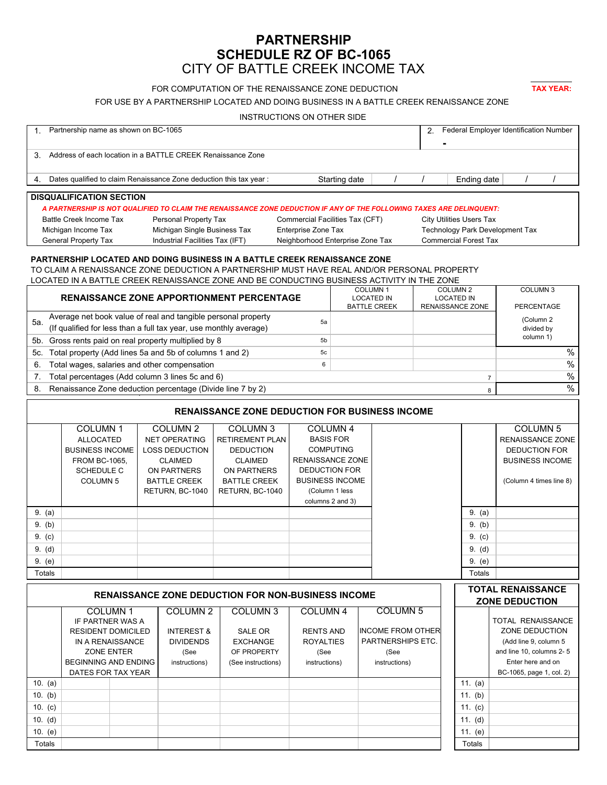# **PARTNERSHIP SCHEDULE RZ OF BC-1065** CITY OF BATTLE CREEK INCOME TAX

# FOR COMPUTATION OF THE RENAISSANCE ZONE DEDUCTION **TAX YEAR:**

FOR USE BY A PARTNERSHIP LOCATED AND DOING BUSINESS IN A BATTLE CREEK RENAISSANCE ZONE

| INSTRUCTIONS ON OTHER SIDE                                                                                                                                                                                                                                             |                                                 |                                                |                                    |                                          |                     |                              |                          |                                 |                                                   |  |
|------------------------------------------------------------------------------------------------------------------------------------------------------------------------------------------------------------------------------------------------------------------------|-------------------------------------------------|------------------------------------------------|------------------------------------|------------------------------------------|---------------------|------------------------------|--------------------------|---------------------------------|---------------------------------------------------|--|
| Partnership name as shown on BC-1065<br>2.<br>1.                                                                                                                                                                                                                       |                                                 |                                                |                                    |                                          |                     |                              |                          |                                 | Federal Employer Identification Number            |  |
|                                                                                                                                                                                                                                                                        |                                                 |                                                |                                    |                                          |                     |                              |                          |                                 |                                                   |  |
| Address of each location in a BATTLE CREEK Renaissance Zone<br>3.                                                                                                                                                                                                      |                                                 |                                                |                                    |                                          |                     |                              |                          |                                 |                                                   |  |
| Dates qualified to claim Renaissance Zone deduction this tax year:                                                                                                                                                                                                     |                                                 |                                                |                                    | Starting date                            |                     |                              | Ending date              |                                 |                                                   |  |
| <b>DISQUALIFICATION SECTION</b>                                                                                                                                                                                                                                        |                                                 |                                                |                                    |                                          |                     |                              |                          |                                 |                                                   |  |
| A PARTNERSHIP IS NOT QUALIFIED TO CLAIM THE RENAISSANCE ZONE DEDUCTION IF ANY OF THE FOLLOWING TAXES ARE DELINQUENT:                                                                                                                                                   |                                                 |                                                |                                    |                                          |                     |                              |                          |                                 |                                                   |  |
| Battle Creek Income Tax<br>Personal Property Tax                                                                                                                                                                                                                       |                                                 |                                                |                                    | Commercial Facilities Tax (CFT)          |                     |                              |                          | <b>City Utilities Users Tax</b> |                                                   |  |
| Michigan Income Tax                                                                                                                                                                                                                                                    |                                                 | Michigan Single Business Tax                   |                                    | Enterprise Zone Tax                      |                     |                              |                          |                                 | <b>Technology Park Development Tax</b>            |  |
| <b>General Property Tax</b><br>Industrial Facilities Tax (IFT)<br>Neighborhood Enterprise Zone Tax                                                                                                                                                                     |                                                 |                                                |                                    |                                          |                     | <b>Commercial Forest Tax</b> |                          |                                 |                                                   |  |
| PARTNERSHIP LOCATED AND DOING BUSINESS IN A BATTLE CREEK RENAISSANCE ZONE<br>TO CLAIM A RENAISSANCE ZONE DEDUCTION A PARTNERSHIP MUST HAVE REAL AND/OR PERSONAL PROPERTY<br>LOCATED IN A BATTLE CREEK RENAISSANCE ZONE AND BE CONDUCTING BUSINESS ACTIVITY IN THE ZONE |                                                 |                                                |                                    |                                          |                     |                              |                          |                                 |                                                   |  |
| COLUMN <sub>1</sub><br>COLUMN <sub>2</sub><br><b>RENAISSANCE ZONE APPORTIONMENT PERCENTAGE</b><br><b>LOCATED IN</b>                                                                                                                                                    |                                                 |                                                |                                    |                                          |                     |                              |                          | <b>LOCATED IN</b>               | COLUMN <sub>3</sub>                               |  |
| <b>BATTLE CREEK</b>                                                                                                                                                                                                                                                    |                                                 |                                                |                                    |                                          |                     |                              | RENAISSANCE ZONE         | PERCENTAGE                      |                                                   |  |
| Average net book value of real and tangible personal property<br>5а.<br>5a                                                                                                                                                                                             |                                                 |                                                |                                    |                                          |                     |                              |                          |                                 | (Column 2                                         |  |
| (If qualified for less than a full tax year, use monthly average)                                                                                                                                                                                                      |                                                 |                                                |                                    |                                          |                     |                              |                          |                                 | divided by<br>column 1)                           |  |
| Gross rents paid on real property multiplied by 8<br>5b.<br>5b                                                                                                                                                                                                         |                                                 |                                                |                                    |                                          |                     |                              |                          |                                 |                                                   |  |
| Total property (Add lines 5a and 5b of columns 1 and 2)<br>5c<br>5с.                                                                                                                                                                                                   |                                                 |                                                |                                    |                                          |                     |                              |                          |                                 | $\%$                                              |  |
| Total wages, salaries and other compensation<br>6<br>6.                                                                                                                                                                                                                |                                                 |                                                |                                    |                                          |                     |                              |                          |                                 | $\%$                                              |  |
| Total percentages (Add column 3 lines 5c and 6)<br>7.<br>$\overline{7}$                                                                                                                                                                                                |                                                 |                                                |                                    |                                          |                     |                              |                          |                                 | $\%$                                              |  |
| $\%$<br>Renaissance Zone deduction percentage (Divide line 7 by 2)<br>8.<br>8                                                                                                                                                                                          |                                                 |                                                |                                    |                                          |                     |                              |                          |                                 |                                                   |  |
| <b>RENAISSANCE ZONE DEDUCTION FOR BUSINESS INCOME</b>                                                                                                                                                                                                                  |                                                 |                                                |                                    |                                          |                     |                              |                          |                                 |                                                   |  |
|                                                                                                                                                                                                                                                                        | COLUMN <sub>1</sub>                             | COLUMN <sub>2</sub>                            | COLUMN <sub>3</sub>                |                                          | COLUMN <sub>4</sub> |                              |                          |                                 | COLUMN <sub>5</sub>                               |  |
|                                                                                                                                                                                                                                                                        | <b>ALLOCATED</b>                                | <b>NET OPERATING</b><br><b>RETIREMENT PLAN</b> |                                    | <b>BASIS FOR</b>                         |                     |                              |                          | RENAISSANCE ZONE                |                                                   |  |
|                                                                                                                                                                                                                                                                        | <b>BUSINESS INCOME</b><br><b>LOSS DEDUCTION</b> |                                                | <b>DEDUCTION</b>                   | <b>COMPUTING</b>                         |                     |                              |                          |                                 | <b>DEDUCTION FOR</b>                              |  |
|                                                                                                                                                                                                                                                                        | <b>FROM BC-1065,</b>                            | <b>CLAIMED</b>                                 | <b>CLAIMED</b>                     | RENAISSANCE ZONE<br><b>DEDUCTION FOR</b> |                     |                              |                          |                                 | <b>BUSINESS INCOME</b>                            |  |
|                                                                                                                                                                                                                                                                        | SCHEDULE C<br><b>COLUMN 5</b>                   | ON PARTNERS<br><b>BATTLE CREEK</b>             | ON PARTNERS<br><b>BATTLE CREEK</b> | <b>BUSINESS INCOME</b>                   |                     |                              |                          |                                 | (Column 4 times line 8)                           |  |
|                                                                                                                                                                                                                                                                        |                                                 | RETURN, BC-1040                                | RETURN, BC-1040                    | (Column 1 less                           |                     |                              |                          |                                 |                                                   |  |
|                                                                                                                                                                                                                                                                        |                                                 |                                                |                                    | columns 2 and 3)                         |                     |                              |                          |                                 |                                                   |  |
| 9. (a)                                                                                                                                                                                                                                                                 |                                                 |                                                |                                    |                                          |                     |                              |                          | 9. (a)                          |                                                   |  |
| 9. (b)                                                                                                                                                                                                                                                                 |                                                 |                                                |                                    |                                          |                     |                              |                          | 9. (b)                          |                                                   |  |
| 9. (c)                                                                                                                                                                                                                                                                 |                                                 |                                                |                                    |                                          |                     |                              |                          | 9. (c)                          |                                                   |  |
| 9. (d)                                                                                                                                                                                                                                                                 |                                                 |                                                |                                    |                                          |                     |                              |                          | 9. (d)                          |                                                   |  |
| 9. (e)                                                                                                                                                                                                                                                                 |                                                 |                                                |                                    |                                          |                     |                              |                          | 9. (e)                          |                                                   |  |
| Totals                                                                                                                                                                                                                                                                 |                                                 |                                                |                                    |                                          |                     |                              |                          | Totals                          |                                                   |  |
| <b>RENAISSANCE ZONE DEDUCTION FOR NON-BUSINESS INCOME</b>                                                                                                                                                                                                              |                                                 |                                                |                                    |                                          |                     |                              |                          |                                 | <b>TOTAL RENAISSANCE</b><br><b>ZONE DEDUCTION</b> |  |
| <b>COLUMN1</b><br>COLUMN <sub>2</sub><br>COLUMN <sub>3</sub>                                                                                                                                                                                                           |                                                 |                                                |                                    | <b>COLUMN 5</b><br>COLUMN 4              |                     |                              |                          |                                 |                                                   |  |
|                                                                                                                                                                                                                                                                        | IF PARTNER WAS A                                |                                                |                                    |                                          |                     |                              |                          |                                 | TOTAL RENAISSANCE                                 |  |
| <b>RESIDENT DOMICILED</b>                                                                                                                                                                                                                                              |                                                 | <b>INTEREST &amp;</b>                          | SALE OR                            | <b>RENTS AND</b>                         |                     |                              | <b>INCOME FROM OTHER</b> |                                 | ZONE DEDUCTION                                    |  |
| IN A RENAISSANCE<br>ZONE ENTER                                                                                                                                                                                                                                         |                                                 | <b>DIVIDENDS</b>                               | <b>EXCHANGE</b>                    | <b>ROYALTIES</b>                         |                     | PARTNERSHIPS ETC.<br>(See    |                          |                                 | (Add line 9, column 5<br>and line 10, columns 2-5 |  |
|                                                                                                                                                                                                                                                                        | <b>BEGINNING AND ENDING</b>                     | (See<br>instructions)                          | OF PROPERTY<br>(See instructions)  | (See<br>instructions)                    |                     | instructions)                |                          |                                 | Enter here and on                                 |  |
| DATES FOR TAX YEAR                                                                                                                                                                                                                                                     |                                                 |                                                |                                    |                                          |                     |                              |                          |                                 | BC-1065, page 1, col. 2)                          |  |
| 10. $(a)$                                                                                                                                                                                                                                                              |                                                 |                                                |                                    |                                          |                     |                              |                          | 11. $(a)$                       |                                                   |  |
| 10. (b)                                                                                                                                                                                                                                                                |                                                 |                                                |                                    |                                          |                     |                              |                          | 11. (b)                         |                                                   |  |
| 10. $(c)$                                                                                                                                                                                                                                                              |                                                 |                                                |                                    |                                          |                     |                              |                          | 11. $(c)$                       |                                                   |  |
| 10. $(d)$                                                                                                                                                                                                                                                              |                                                 |                                                |                                    |                                          |                     |                              |                          | 11. $(d)$                       |                                                   |  |

10. (e) 11. (e) 11. (e) Totals Totals